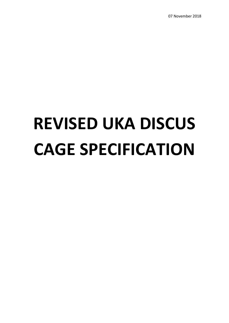07 November 2018

# **REVISED UKA DISCUS CAGE SPECIFICATION**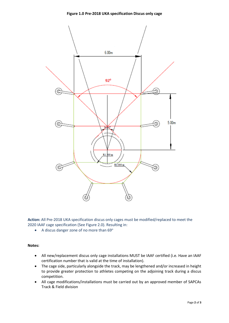

**Action:** All Pre-2018 UKA specification discus only cages must be modified/replaced to meet the 2020 IAAF cage specification (See Figure 2.0). Resulting in:

• A discus danger zone of no more than  $69^\circ$ 

## **Notes:**

- All new/replacement discus only cage installations MUST be IAAF certified (i.e. Have an IAAF certification number that is valid at the time of installation).
- The cage side, particularly alongside the track, may be lengthened and/or increased in height to provide greater protection to athletes competing on the adjoining track during a discus competition.
- All cage modifications/installations must be carried out by an approved member of SAPCAs Track & Field division